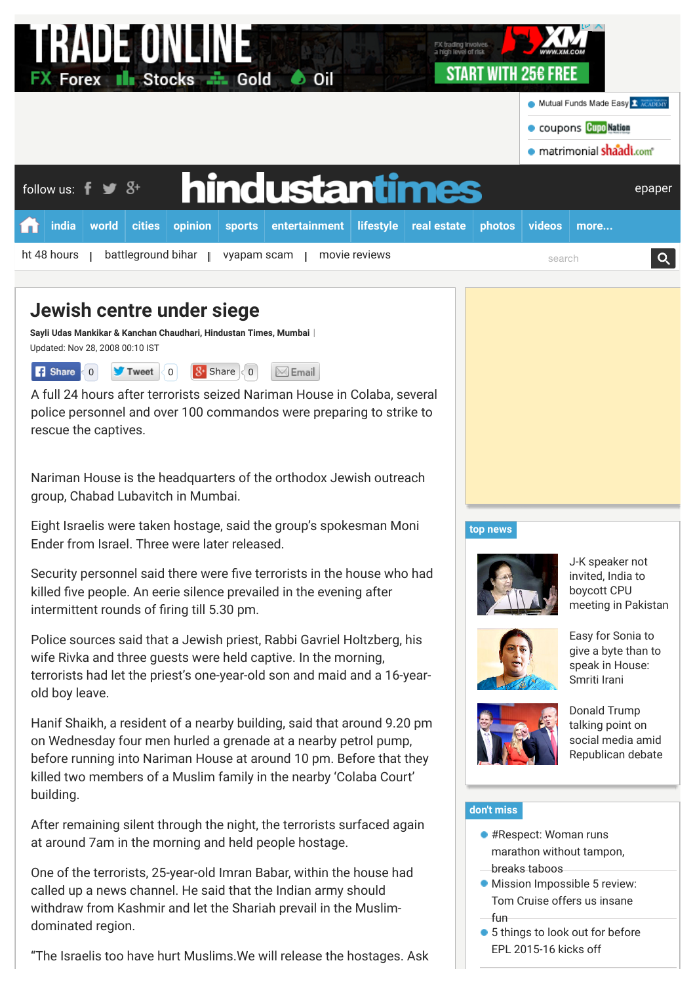| RADE UNEINE<br>FX trading Involves<br>a high level of risk<br>START WITH 256 FREE<br><b>FX Forex II Stocks - Gold O Oil</b>      |                                  |
|----------------------------------------------------------------------------------------------------------------------------------|----------------------------------|
|                                                                                                                                  | Mutual Funds Made Easy T ACADEMY |
|                                                                                                                                  | Coupons Cupo Nation              |
|                                                                                                                                  | · matrimonial shaadi.com         |
| hindustantimes<br>follow us: $\mathbf{f} \blacktriangleright \mathbf{S}^+$                                                       | epaper                           |
| cities<br><b>india</b><br>world<br>opinion<br>entertainment<br><b>lifestyle</b><br><b>sports</b><br>real estate<br><b>photos</b> | videos<br>more                   |
| ht 48 hours<br>battleground bihar<br>movie reviews<br>vyapam scam                                                                | $\Omega$<br>search               |

# **Jewish centre under siege**

**Sayli Udas Mankikar & Kanchan Chaudhari, [Hindustan Times,](http://www.hindustantimes.com/Search/Search.aspx?op=story&pt=all&auth=Hindustan%20Times) Mumbai** | Updated: Nov 28, 2008 00:10 IST

| $\left  \mathbf{3} \right $ Share $\left  \left\langle 0 \right  \right $<br>$\blacktriangleright$ Tweet $\langle 0  $<br><b>B</b> Share (0)<br>$\bowtie$ Email |
|-----------------------------------------------------------------------------------------------------------------------------------------------------------------|
|-----------------------------------------------------------------------------------------------------------------------------------------------------------------|

A full 24 hours after terrorists seized Nariman House in Colaba, several police personnel and over 100 commandos were preparing to strike to rescue the captives.

Nariman House is the headquarters of the orthodox Jewish outreach group, Chabad Lubavitch in Mumbai.

Eight Israelis were taken hostage, said the group's spokesman Moni Ender from Israel. Three were later released.

Security personnel said there were five terrorists in the house who had killed five people. An eerie silence prevailed in the evening after intermittent rounds of firing till 5.30 pm.

Police sources said that a Jewish priest, Rabbi Gavriel Holtzberg, his wife Rivka and three guests were held captive. In the morning, terrorists had let the priest's one-year-old son and maid and a 16-yearold boy leave.

Hanif Shaikh, a resident of a nearby building, said that around 9.20 pm on Wednesday four men hurled a grenade at a nearby petrol pump, before running into Nariman House at around 10 pm. Before that they killed two members of a Muslim family in the nearby 'Colaba Court' building.

After remaining silent through the night, the terrorists surfaced again at around 7am in the morning and held people hostage.

One of the terrorists, 25-year-old Imran Babar, within the house had called up a news channel. He said that the Indian army should withdraw from Kashmir and let the Shariah prevail in the Muslimdominated region.

"The Israelis too have hurt Muslims.We will release the hostages. Ask

# **[top news](http://www.hindustantimes.com/homepage/homepage-topstories/lid.aspx)**



J-K speaker not invited, India to boycott CPU [meeting in Pakistan](http://www.hindustantimes.com/india-news/j-k-speaker-not-invited-india-to-boycott-cpu-meeting-in-pakistan/article1-1377617.aspx)



Easy for Sonia to [give a byte than to](http://www.hindustantimes.com/india-news/easy-for-sonia-gandhi-to-give-a-byte-than-to-speak-in-house-smriti-irani/article1-1377517.aspx) speak in House: Smriti Irani



Donald Trump talking point on social media amid [Republican debate](http://www.hindustantimes.com/world-news/us-donald-trump-talking-point-on-social-media-amid-republican-presidential-debate/article1-1377631.aspx)

# **[don't miss](http://www.hindustantimes.com/homepage/chunk-ht-ui-common-dontmiss/lid.aspx)**

- #Respect: Woman runs [marathon without tampon,](http://www.hindustantimes.com/wellness/respect-woman-runs-marathon-without-tampon-breaks-taboos/article1-1377623.aspx?li_source=base&li_medium=dont-miss&li_campaign=related-test)
- breaks taboos
- **[Mission Impossible 5 review:](http://www.hindustantimes.com/movie-reviews/mission-impossible-5-review-tom-cruise-and-his-action-franchise-just-get-better-with-age/article1-1377015.aspx?li_source=base&li_medium=dont-miss&li_campaign=related-test)** Tom Cruise offers us insane fun
- [5 things to look out for before](http://www.hindustantimes.com/football/5-things-to-look-out-for-before-epl-2015-16-kicks-off/article1-1377506.aspx?li_source=base&li_medium=dont-miss&li_campaign=related-test) EPL 2015-16 kicks off